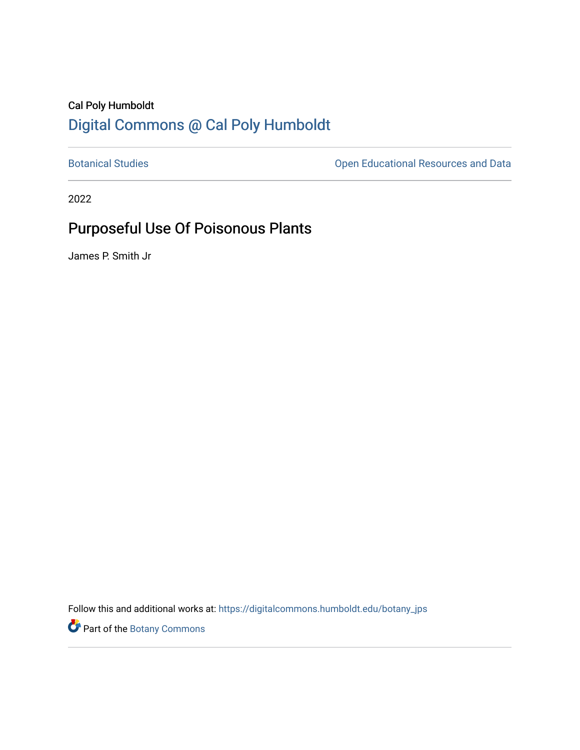## Cal Poly Humboldt [Digital Commons @ Cal Poly Humboldt](https://digitalcommons.humboldt.edu/)

[Botanical Studies](https://digitalcommons.humboldt.edu/botany_jps) **Botanical Studies Open Educational Resources and Data** 

2022

# Purposeful Use Of Poisonous Plants

James P. Smith Jr

Follow this and additional works at: [https://digitalcommons.humboldt.edu/botany\\_jps](https://digitalcommons.humboldt.edu/botany_jps?utm_source=digitalcommons.humboldt.edu%2Fbotany_jps%2F105&utm_medium=PDF&utm_campaign=PDFCoverPages) 

Part of the [Botany Commons](http://network.bepress.com/hgg/discipline/104?utm_source=digitalcommons.humboldt.edu%2Fbotany_jps%2F105&utm_medium=PDF&utm_campaign=PDFCoverPages)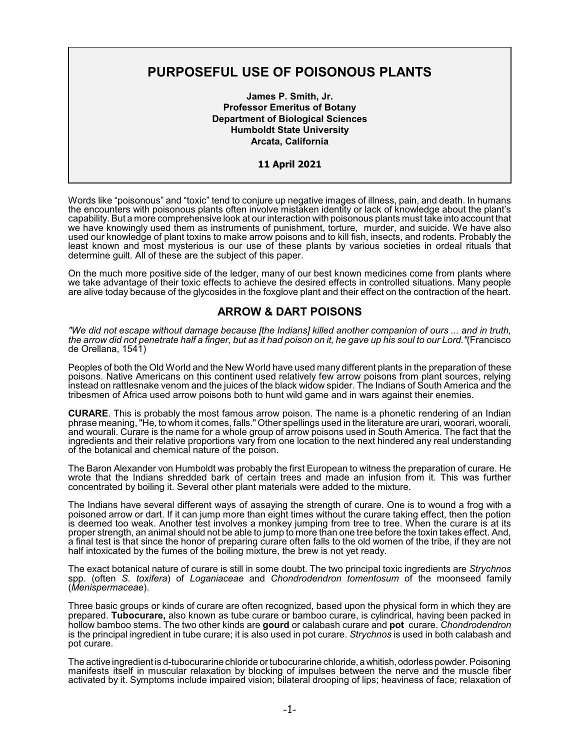## **PURPOSEFUL USE OF POISONOUS PLANTS**

**James P. Smith, Jr. Professor Emeritus of Botany Department of Biological Sciences Humboldt State University Arcata, California**

## **11 April 2021**

Words like "poisonous" and "toxic" tend to conjure up negative images of illness, pain, and death. In humans the encounters with poisonous plants often involve mistaken identity or lack of knowledge about the plant's capability. But a more comprehensive look at our interaction with poisonous plants must take into account that we have knowingly used them as instruments of punishment, torture, murder, and suicide. We have also used our knowledge of plant toxins to make arrow poisons and to kill fish, insects, and rodents. Probably the least known and most mysterious is our use of these plants by various societies in ordeal rituals that determine guilt. All of these are the subject of this paper.

On the much more positive side of the ledger, many of our best known medicines come from plants where we take advantage of their toxic effects to achieve the desired effects in controlled situations. Many people are alive today because of the glycosides in the foxglove plant and their effect on the contraction of the heart.

## **ARROW & DART POISONS**

*"We did not escape without damage because [the Indians] killed another companion of ours ... and in truth, the arrow did not penetrate half a finger, but as it had poison on it, he gave up his soul to our Lord."*(Francisco de Orellana, 1541)

Peoples of both the Old World and the New World have used many different plants in the preparation of these poisons. Native Americans on this continent used relatively few arrow poisons from plant sources, relying instead on rattlesnake venom and the juices of the black widow spider. The Indians of South America and the tribesmen of Africa used arrow poisons both to hunt wild game and in wars against their enemies.

**CURARE**. This is probably the most famous arrow poison. The name is a phonetic rendering of an Indian phrase meaning, "He, to whom it comes, falls." Other spellings used in the literature are urari, woorari, woorali, and wourali. Curare is the name for a whole group of arrow poisons used in South America. The fact that the ingredients and their relative proportions vary from one location to the next hindered any real understanding of the botanical and chemical nature of the poison.

The Baron Alexander von Humboldt was probably the first European to witness the preparation of curare. He wrote that the Indians shredded bark of certain trees and made an infusion from it. This was further concentrated by boiling it. Several other plant materials were added to the mixture.

The Indians have several different ways of assaying the strength of curare. One is to wound a frog with a poisoned arrow or dart. If it can jump more than eight times without the curare taking effect, then the potion is deemed too weak. Another test involves a monkey jumping from tree to tree. When the curare is at its proper strength, an animal should not be able to jump to more than one tree before the toxin takes effect. And, a final test is that since the honor of preparing curare often falls to the old women of the tribe, if they are not half intoxicated by the fumes of the boiling mixture, the brew is not yet ready.

The exact botanical nature of curare is still in some doubt. The two principal toxic ingredients are *Strychnos* spp. (often *S. toxifera*) of *Loganiaceae* and *Chondrodendron tomentosum* of the moonseed family (*Menispermaceae*).

Three basic groups or kinds of curare are often recognized, based upon the physical form in which they are prepared. **Tubocurare,** also known as tube curare or bamboo curare, is cylindrical, having been packed in hollow bamboo stems. The two other kinds are **gourd** or calabash curare and **pot** curare. *Chondrodendron* is the principal ingredient in tube curare; it is also used in pot curare. *Strychnos* is used in both calabash and pot curare.

The active ingredient is d-tubocurarine chloride or tubocurarine chloride, a whitish, odorless powder. Poisoning manifests itself in muscular relaxation by blocking of impulses between the nerve and the muscle fiber activated by it. Symptoms include impaired vision; bilateral drooping of lips; heaviness of face; relaxation of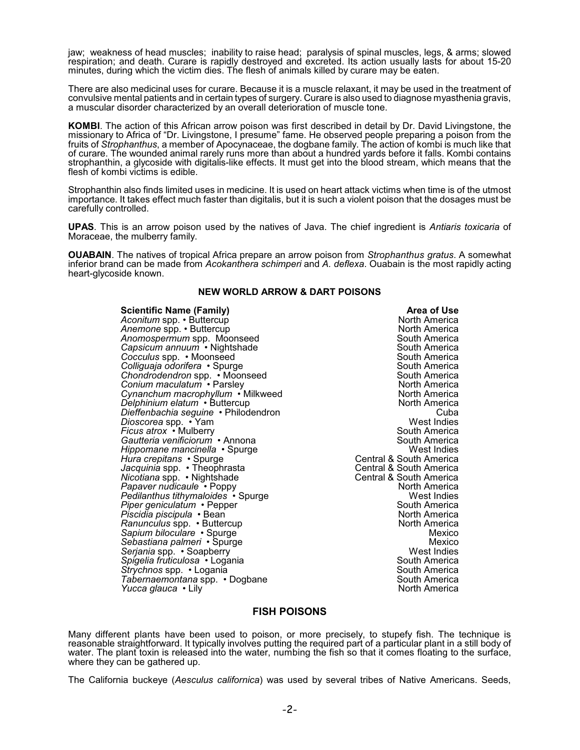jaw; weakness of head muscles; inability to raise head; paralysis of spinal muscles, legs, & arms; slowed respiration; and death. Curare is rapidly destroyed and excreted. Its action usually lasts for about 15-20 minutes, during which the victim dies. The flesh of animals killed by curare may be eaten.

There are also medicinal uses for curare. Because it is a muscle relaxant, it may be used in the treatment of convulsive mental patients and in certain types of surgery. Curare is also used to diagnose myasthenia gravis, a muscular disorder characterized by an overall deterioration of muscle tone.

**KOMBI**. The action of this African arrow poison was first described in detail by Dr. David Livingstone, the missionary to Africa of "Dr. Livingstone, I presume" fame. He observed people preparing a poison from the fruits of *Strophanthus*, a member of Apocynaceae, the dogbane family. The action of kombi is much like that of curare. The wounded animal rarely runs more than about a hundred yards before it falls. Kombi contains strophanthin, a glycoside with digitalis-like effects. It must get into the blood stream, which means that the flesh of kombi victims is edible.

Strophanthin also finds limited uses in medicine. It is used on heart attack victims when time is of the utmost importance. It takes effect much faster than digitalis, but it is such a violent poison that the dosages must be carefully controlled.

**UPAS**. This is an arrow poison used by the natives of Java. The chief ingredient is *Antiaris toxicaria* of Moraceae, the mulberry family.

**OUABAIN**. The natives of tropical Africa prepare an arrow poison from *Strophanthus gratus*. A somewhat inferior brand can be made from *Acokanthera schimperi* and *A. deflexa*. Ouabain is the most rapidly acting heart-glycoside known.

## **NEW WORLD ARROW & DART POISONS**

**Scientific Name (Family) Area of Use**<br> **Aconitum** spp. • Buttercup<br> **Aconitum** spp. • Buttercup *Aconitum* spp. • Buttercup North America<br> *Anemone* spp. • Buttercup North America *Anemone* spp. • Buttercup North America<br> *Anomospermum* spp. Moonseed North America<br>
Anomospermum spp. Moonseed *Anomospermum* spp. Moonseed and South America<br>Capsicum annuum • Nightshade South America Capsicum annuum • Nightshade South America<br>Cocculus spp. • Moonseed South America *Cocculus* spp. ∙ Moonseed South America<br>Co*lliquaia odorifera* ∙ Spurge South America *Colliguaja odorifera* • Spurge South America C*hondrodendron* spp. • Moonseed South America و South America<br>C*onium maculatum* • Parsley **Conium maculatum • Parsley North America**<br>
Cynanchum macrophyllum • Milkweed North America Cynanchum macrophyllum • Milkweed North America<br>Delphinium elatum • Buttercup *Delphinium elatum* • Buttercup North America<br>Dieffenbachia sequine • Philodendron North America *Dieffenbachia seguine* • Philodendron Cuba *Dioscorea* spp. ∙ Yam West Indies<br>Ficus atrox • Mulberry Mexical Mexical Mexical South America *Ficus atrox* • Mulberry **South America Contract America Contract America Contract America Gautteria venificiorum • Annona** South America South America *Hippomane mancinella* • Spurge West Indies<br>*Hura crepitans* • Spurge West Indies Burge Central & South America Jacquinia spp. • Theophrasta **Central & South America** *Nicotiana* spp. • Nightshade **Central & South America** Central & South America Papaver nudicaule • Poppy North America<br>Pedilanthus tithymaloides • Spurge North America *Pedilanthus tithymaloides* • Spurge West Indies<br>*Piper geniculatum* • Pepper Piper geniculatum • Pepper South America<br>Piscidia piscipula • Bean South America *Piscidia piscipula* • Bean North America<br>Ranunculus spp. • Buttercup Ranunculus<sup>'</sup>spp. • Buttercup North America<br>Sapium biloculare • Spurge North America *Sapium biloculare* • Spurge Mexico *Sebastiana palmeri* • Spurge Mexico Mexico Mexico Mexico Mexico Mexico Mexico Mexico Mexico Mexico Mexico Mexico<br>Serjanja spp. • Soapberry *Serjania* spp. • Soapberry West Indies *Spigelia fruticulosa* • Logania South America *Strychnos* spp. • Logania South America *Tabernaemontana* spp. • Dogbane South America<br>Yucca glauca • Lilv *Yucca glauca* • Lily

**Central & South America<br>Central & South America** 

## **FISH POISONS**

Many different plants have been used to poison, or more precisely, to stupefy fish. The technique is reasonable straightforward. It typically involves putting the required part of a particular plant in a still body of water. The plant toxin is released into the water, numbing the fish so that it comes floating to the surface, where they can be gathered up.

The California buckeye (*Aesculus californica*) was used by several tribes of Native Americans. Seeds,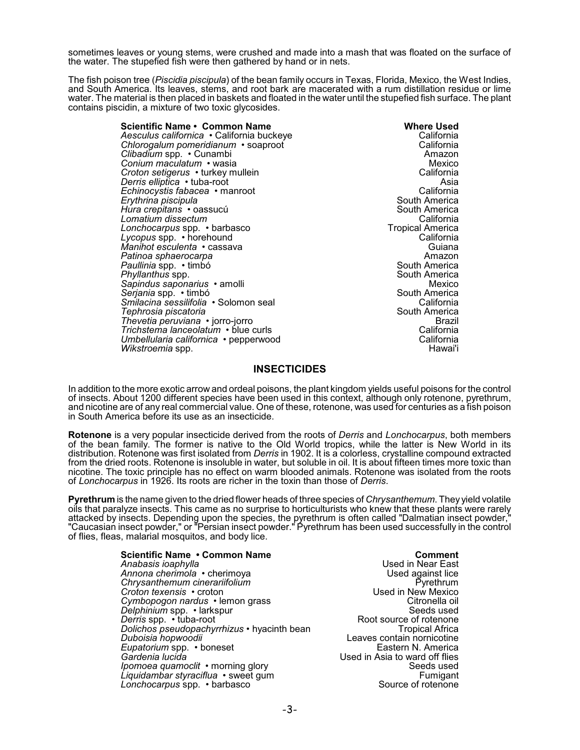sometimes leaves or young stems, were crushed and made into a mash that was floated on the surface of the water. The stupefied fish were then gathered by hand or in nets.

The fish poison tree (*Piscidia piscipula*) of the bean family occurs in Texas, Florida, Mexico, the West Indies, and South America. Its leaves, stems, and root bark are macerated with a rum distillation residue or lime water. The material is then placed in baskets and floated in the water until the stupefied fish surface. The plant contains piscidin, a mixture of two toxic glycosides.

| Scientific Name • Common Name             | <b>Where Used</b>       |
|-------------------------------------------|-------------------------|
| Aesculus californica • California buckeye | California              |
| Chlorogalum pomeridianum • soaproot       | California              |
| Clibadium spp. • Cunambi                  | Amazon                  |
| <i>Conium maculatum ∙</i> wasia           | Mexico                  |
| Croton setigerus • turkey mullein         | California              |
| Derris elliptica • tuba-root              | Asia                    |
| Echinocystis fabacea • manroot            | California              |
| Erythrina piscipula                       | South America           |
| Hura crepitans • oassucú                  | South America           |
| Lomatium dissectum                        | California              |
| Lonchocarpus spp. • barbasco              | <b>Tropical America</b> |
| Lycopus spp. • horehound                  | California              |
| Manihot esculenta • cassava               | Guiana                  |
| Patinoa sphaerocarpa                      | Amazon                  |
| Paullinia spp. • timbó                    | South America           |
| Phyllanthus spp.                          | South America           |
| Sapindus saponarius • amolli              | Mexico                  |
| Serjania spp. • timbó                     | South America           |
| Smilacina sessilifolia • Solomon seal     | California              |
| Tephrosia piscatoria                      | South America           |
| Thevetia peruviana • jorro-jorro          | Brazil                  |
| Trichstema lanceolatum • blue curls       | California              |
| Umbellularia californica • pepperwood     | California              |
| <i>Wikstroemia</i> spp.                   | Hawai'i                 |

## **INSECTICIDES**

In addition to the more exotic arrow and ordeal poisons, the plant kingdom yields useful poisons for the control of insects. About 1200 different species have been used in this context, although only rotenone, pyrethrum, and nicotine are of any real commercial value. One of these, rotenone, was used for centuries as a fish poison in South America before its use as an insecticide.

**Rotenone** is a very popular insecticide derived from the roots of *Derris* and *Lonchocarpus*, both members of the bean family. The former is native to the Old World tropics, while the latter is New World in its distribution. Rotenone was first isolated from *Derris* in 1902. It is a colorless, crystalline compound extracted from the dried roots. Rotenone is insoluble in water, but soluble in oil. It is about fifteen times more toxic than nicotine. The toxic principle has no effect on warm blooded animals. Rotenone was isolated from the roots of *Lonchocarpus* in 1926. Its roots are richer in the toxin than those of *Derris*.

**Pyrethrum** is the name given to the dried flower heads of three species of *Chrysanthemum*. They yield volatile oils that paralyze insects. This came as no surprise to horticulturists who knew that these plants were rarely attacked by insects. Depending upon the species, the pyrethrum is often called "Dalmatian insect powder," "Caucasian insect powder," or "Persian insect powder." Pyrethrum has been used successfully in the control of flies, fleas, malarial mosquitos, and body lice.

> **Scientific Name • Common Name <b>Comment**<br>Anabasis joaphylla **Comment**<br>Comment Reserves the Seater Present Comment *Anabasis ioaphylla* Used in Near East Annona cher<sup>i</sup>mola • cherimoya **belanging and the Used against lice**<br>Chrysanthemum cinerariifolium **belanging and the USE** Pyrethrum *Chrysanthemum cinerariifolium* Pyrethrum *Croton texensis* • croton Used in New Mexico C*ymbopogon nardus* ∙ lemon grass Citronella oil Citronella oil Citronella oil Citronella oil Citronella oil Citronella oil Citronella oil Citronella oil Citronella oil Citronella oil Citronella oil Citronella oil Citrone *Delphinium* spp. • larkspur Seeds used<br> *Derris* spp. • tuba-root Seeds used Root source of rotenone *Derris* spp. • tuba-root **bee absoluted in the Service Service** Root source of rotenone *Dolichos pseudopachyrrhizus* • hyacinth bean *Dolichos pseudopachyrrhizus* • hyacinth bean Duboisia hopwoodii *Eupatorium* spp. • boneset<br>Gardenia lucida *Ipomoea quamoclit* • morning glory **Seeds** used<br>*Liquidambar stvraciflua* • sweet qum strategies are seeds used Fumigant *Liquidambar styraciflua* • sweet gum Fumigant *Lonchocarpus* spp. • barbasco

Leaves contain nornicotine<br>Eastern N. America *Gardenia lucida* Used in Asia to ward off flies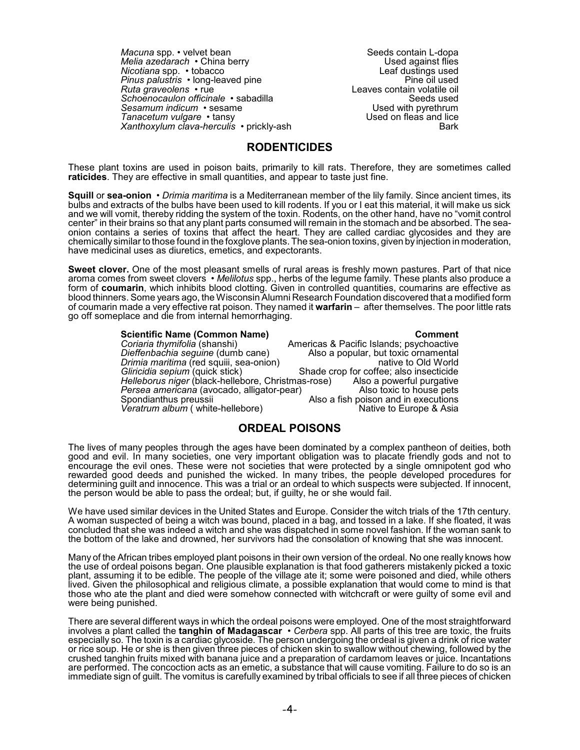*Macuna* spp. • velvet bean Seeds contain L-dopa<br>Melia azedarach • China berry Seeds contain L-dopa *Melia azedarach* • China berry Used against flies *Nicotiana* spp. • tobacco **Leaf dustings** used<br> *Pinus palustris* • long-leaved pine *Pinus palustris* • long-leaved pine<br>*Ruta graveolens* • rue Schoenocaulon officinale • sabadilla **Schoenocaulon officinale** • sabadilla **Seeds** used **Seeds** used Sesamum indicum • sesame Sesamum indicum • sesame Used with pyrethrum<br>
Tanacetum vulgare • tansy Used on fleas and lice *Tanacetum vulgare* • tansy *Xanthoxylum clava-herculis* • prickly-ash Bark Bark

Leaves contain volatile oil<br>Seeds used

## **RODENTICIDES**

These plant toxins are used in poison baits, primarily to kill rats. Therefore, they are sometimes called **raticides**. They are effective in small quantities, and appear to taste just fine.

**Squill** or **sea-onion** • *Drimia maritima* is a Mediterranean member of the lily family. Since ancient times, its bulbs and extracts of the bulbs have been used to kill rodents. If you or I eat this material, it will make us sick and we will vomit, thereby ridding the system of the toxin. Rodents, on the other hand, have no "vomit control center" in their brains so that any plant parts consumed will remain in the stomach and be absorbed. The seaonion contains a series of toxins that affect the heart. They are called cardiac glycosides and they are chemically similar to those found in the foxglove plants. The sea-onion toxins, given by injection in moderation, have medicinal uses as diuretics, emetics, and expectorants.

**Sweet clover.** One of the most pleasant smells of rural areas is freshly mown pastures. Part of that nice aroma comes from sweet clovers • *Melilotus* spp., herbs of the legume family. These plants also produce a form of **coumarin**, which inhibits blood clotting. Given in controlled quantities, coumarins are effective as blood thinners. Some years ago, the Wisconsin Alumni Research Foundation discovered that a modified form of coumarin made a very effective rat poison. They named it **warfarin** – after themselves. The poor little rats go off someplace and die from internal hemorrhaging.

#### **Scientific Name (Common Name)**<br> *Coriaria thymifolia* (shanshi) **Americas & Pacific Islands**; psychoactive **Coriaria thymifolia (shanshi)** Americas & Pacific Islands; psychoactive Dieffenbachia seguine (dumb cane) Also a popular, but toxic ornamental *Dieffenbachia seguine* (dumb cane) Also a popular, but toxic ornamental *Drimia maritima* (red squiii, sea-onion) *Gliricidia sepium* (quick stick) Shade crop for coffee; also insecticide<br>Helleborus niger (black-hellebore, Christmas-rose) Also a powerful purgative *Helleborus niger* (black-hellebore, Christmas-rose) Also a powerful purgative<br>Persea americana (avocado, alligator-pear) Also toxic to house pets *Persea americana* (avocado, alligator-pear)<br>Spondianthus preussii Also a fish poison and in executions<br>Native to Europe & Asia *Veratrum album* ( white-hellebore)

## **ORDEAL POISONS**

The lives of many peoples through the ages have been dominated by a complex pantheon of deities, both good and evil. In many societies, one very important obligation was to placate friendly gods and not to encourage the evil ones. These were not societies that were protected by a single omnipotent god who rewarded good deeds and punished the wicked. In many tribes, the people developed procedures for determining guilt and innocence. This was a trial or an ordeal to which suspects were subjected. If innocent, the person would be able to pass the ordeal; but, if guilty, he or she would fail.

We have used similar devices in the United States and Europe. Consider the witch trials of the 17th century. A woman suspected of being a witch was bound, placed in a bag, and tossed in a lake. If she floated, it was concluded that she was indeed a witch and she was dispatched in some novel fashion. If the woman sank to the bottom of the lake and drowned, her survivors had the consolation of knowing that she was innocent.

Many of the African tribes employed plant poisons in their own version of the ordeal. No one really knows how the use of ordeal poisons began. One plausible explanation is that food gatherers mistakenly picked a toxic plant, assuming it to be edible. The people of the village ate it; some were poisoned and died, while others lived. Given the philosophical and religious climate, a possible explanation that would come to mind is that those who ate the plant and died were somehow connected with witchcraft or were guilty of some evil and were being punished.

There are several different ways in which the ordeal poisons were employed. One of the most straightforward involves a plant called the **tanghin of Madagascar** • *Cerbera* spp. All parts of this tree are toxic, the fruits especially so. The toxin is a cardiac glycoside. The person undergoing the ordeal is given a drink of rice water or rice soup. He or she is then given three pieces of chicken skin to swallow without chewing, followed by the crushed tanghin fruits mixed with banana juice and a preparation of cardamom leaves or juice. Incantations are performed. The concoction acts as an emetic, a substance that will cause vomiting. Failure to do so is an immediate sign of guilt. The vomitus is carefully examined by tribal officials to see if all three pieces of chicken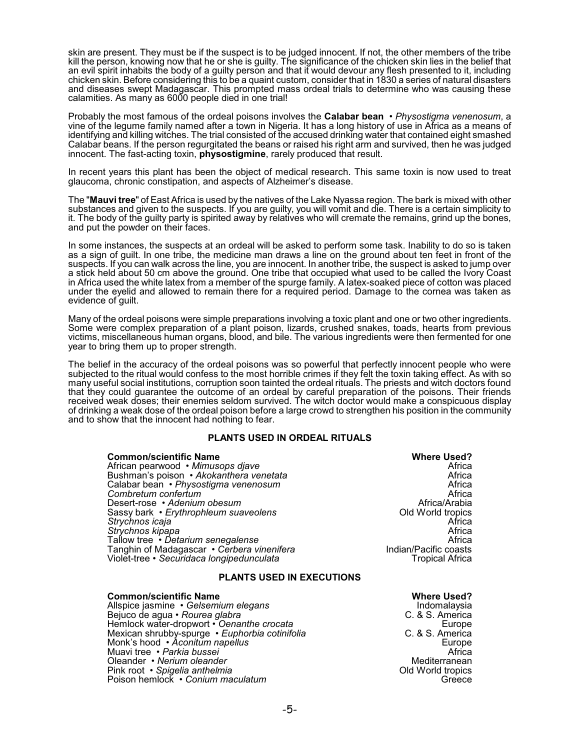skin are present. They must be if the suspect is to be judged innocent. If not, the other members of the tribe kill the person, knowing now that he or she is guilty. The significance of the chicken skin lies in the belief that an evil spirit inhabits the body of a guilty person and that it would devour any flesh presented to it, including chicken skin. Before considering this to be a quaint custom, consider that in 1830 a series of natural disasters and diseases swept Madagascar. This prompted mass ordeal trials to determine who was causing these calamities. As many as 6000 people died in one trial!

Probably the most famous of the ordeal poisons involves the **Calabar bean** • *Physostigma venenosum*, a vine of the legume family named after a town in Nigeria. It has a long history of use in Africa as a means of identifying and killing witches. The trial consisted of the accused drinking water that contained eight smashed Calabar beans. If the person regurgitated the beans or raised his right arm and survived, then he was judged innocent. The fast-acting toxin, **physostigmine**, rarely produced that result.

In recent years this plant has been the object of medical research. This same toxin is now used to treat glaucoma, chronic constipation, and aspects of Alzheimer's disease.

The "**Mauvi tree**" of East Africa is used by the natives of the Lake Nyassa region. The bark is mixed with other substances and given to the suspects. If you are guilty, you will vomit and die. There is a certain simplicity to it. The body of the guilty party is spirited away by relatives who will cremate the remains, grind up the bones, and put the powder on their faces.

In some instances, the suspects at an ordeal will be asked to perform some task. Inability to do so is taken as a sign of guilt. In one tribe, the medicine man draws a line on the ground about ten feet in front of the suspects. If you can walk across the line, you are innocent. In another tribe, the suspect is asked to jump over a stick held about 50 cm above the ground. One tribe that occupied what used to be called the Ivory Coast in Africa used the white latex from a member of the spurge family. A latex-soaked piece of cotton was placed under the eyelid and allowed to remain there for a required period. Damage to the cornea was taken as evidence of guilt.

Many of the ordeal poisons were simple preparations involving a toxic plant and one or two other ingredients. Some were complex preparation of a plant poison, lizards, crushed snakes, toads, hearts from previous victims, miscellaneous human organs, blood, and bile. The various ingredients were then fermented for one year to bring them up to proper strength.

The belief in the accuracy of the ordeal poisons was so powerful that perfectly innocent people who were subjected to the ritual would confess to the most horrible crimes if they felt the toxin taking effect. As with so many useful social institutions, corruption soon tainted the ordeal rituals. The priests and witch doctors found that they could guarantee the outcome of an ordeal by careful preparation of the poisons. Their friends received weak doses; their enemies seldom survived. The witch doctor would make a conspicuous display of drinking a weak dose of the ordeal poison before a large crowd to strengthen his position in the community and to show that the innocent had nothing to fear.

## **PLANTS USED IN ORDEAL RITUALS**

| <b>Common/scientific Name</b>              | <b>Where Used?</b>     |  |
|--------------------------------------------|------------------------|--|
| African pearwood • Mimusops djave          | Africa                 |  |
| Bushman's poison • Akokanthera venetata    | Africa                 |  |
| Calabar bean • Physostigma venenosum       | Africa                 |  |
| Combretum confertum                        | Africa                 |  |
| Desert-rose • Adenium obesum               | Africa/Arabia          |  |
| Sassy bark • Erythrophleum suaveolens      | Old World tropics      |  |
| Strychnos icaja                            | Africa                 |  |
| Strychnos kipapa                           | Africa                 |  |
| Tallow tree • Detarium senegalense         | Africa                 |  |
| Tanghin of Madagascar • Cerbera vinenifera | Indian/Pacific coasts  |  |
| Violet-tree · Securidaca longipedunculata  | <b>Tropical Africa</b> |  |
| <b>PLANTS USED IN EXECUTIONS</b>           |                        |  |

#### **Common/scientific Name Common/scientific Name Where Used?**<br>Allspice jasmine • Gelsemium elegans **Common Common Common Common Common Common Common Common Common Common Com** Allspice jasmine • *Gelsemium elegans* Indomalaysia Bejuco de agua • *Rourea glabra* C. & S. America Hemlock water-dropwort • *Oenanthe crocata* enter the mode of the Europe Europe<br>Mexican shrubby-spurge *• Euphorbia cotinifolia* enter the C. & S. America Mexican shrubby-spurge • *Euphorbia cotinifolia* C. & S. America Monk's hood • *Aconitum napellus* Europe Muavi tree • *Parkia bussei* Africa Oleander • *Nerium oleander* Mediterranean Pink root • *Spigelia anthelmia* Old World tropics Poison hemlock • *Conium maculatum*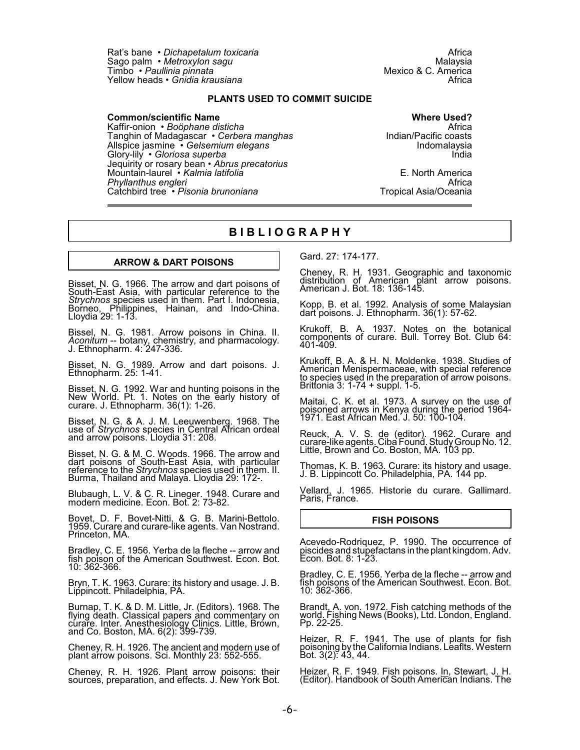Rat's bane • *Dichapetalum toxicaria* Africa Sago palm • *Metroxylon sagu* Malaysia Timbo *• Paullinia pinnata* Mexico & C. America<br>Timbo *• Paullinia pinnata* Mexico & C. America<br>Mexico Africa Yellow heads • *Gnidia krausiana* 

## **PLANTS USED TO COMMIT SUICIDE**

**Common/scientific Name Common/scientific Name Where Used?**<br>Kaffir-onion • *Boöphane disticha* Kaffir-onion • *Boöphane disticha* Africa Tanghin of Madagascar • *Cerbera manghas* Indian/Pacific coasts<br>Allspice jasmine • *Gelsemium elegans* Indomalaysia Allspice jasmine • *Gelsemium elegans* Indomalaysia Glory-lily • *Gloriosa superba* India Jequirity or rosary bean • *Abrus precatorius* Mountain-laurel • *Kalmia latifolia* E. North America *Phyllanthus engleri* Africa Catchbird tree • Pisonia brunoniana

## **B I B L I O G R A P H Y**

## **ARROW & DART POISONS**

Bisset, N. G. 1966. The arrow and dart poisons of South-East Asia, with particular reference to the *Strychnos* species used in them. Part I. Indonesia, Borneo, Philippines, Hainan, and Indo-China. Lloydia 29: 1-13.

Bissel, N. G. 1981. Arrow poisons in China. II. *Aconitum* -- botany, chemistry, and pharmacology. J. Ethnopharm. 4: 247-336.

Bisset, N. G. 1989. Arrow and dart poisons. J. Ethnopharm. 25: 1-41.

Bisset, N. G. 1992. War and hunting poisons in the New Worl<u>d.</u> Pt. 1. Notes on the early history of curare. J. Ethnopharm. 36(1): 1-26.

Bisset, N. G. & A. J. M. Leeuwenberg. 1968. The use of *Strychnos* species in Central African ordeal and arrow poisons. Lloydia 31: 208.

Bisset, N. G. & M. C. Woods. 1966. The arrow and dart poisons of South-East Asia, with particular reference to the *Strychnos* species used in them. II. Burma, Thailand and Malaya. Lloydia 29: 172-.

Blubaugh, L. V. & C. R. Lineger. 1948. Curare and modern medicine. Econ. Bot. 2: 73-82.

Bovet, D. F. Bovet-Nitti, & G. B. Marini-Bettolo. 1959. Curare and curare-like agents. Van Nostrand. Princeton, MA.

Bradley, C. E. 1956. Yerba de la fleche -- arrow and fish poison of the American Southwest. Econ. Bot. 10: 362-366.

Bryn, T. K. 1963. Curare: its history and usage. J. B. Lippincott. Philadelphia, PA.

Burnap, T. K. & D. M. Little, Jr. (Editors). 1968. The flying death. Classical papers and commentary on cúrare. Inter. Anesthesiology Clinics. Little, Brówn, and Co. Boston, MA. 6(2): 399-739.

Cheney, R. H. 1926. The ancient and modern use of plant arrow poisons. Sci. Monthly 23: 552-555.

Cheney, R. H. 1926. Plant arrow poisons: their sources, preparation, and effects. J. New York Bot. Gard. 27: 174-177.

Cheney, R. H. 1931. Geographic and taxonomic distribution of American plant arrow poisons. American J. Bot. 18: 136-145.

Kopp, B. et al. 1992. Analysis of some Malaysian dart poisons. J. Ethnopharm. 36(1): 57-62.

Krukoff, B. A. 1937. <u>Notes</u> on the botanical components of curare. Bull. Torrey Bot. Club 64: 401-409.

Krukoff, B. A. & H. N. Moldenke. 1938. Studies of American Menispermaceae, with special reference to species used in the preparation of arrow poisons. Brittonia 3: 1-74 + suppl. 1-5.

Maitai, C. K. et al. 1973. A survey on the use of poisoned arrows in Kenya during the period 1964- 1971. East African Med. J. 50: 100-104.

Reuck, A. V. S. de (editor). 1962. Curare and curare-like agents. Ciba Found. StudyGroup No. 12. Little, Brown and Co. Boston, MA. 103 pp.

Thomas, K. B. 1963. Curare: its history and usage. J. B. Lippincott Co. Philadelphia, PA. 144 pp.

Vellard, J. 1965. Historie du curare. Gallimard. Paris, France.

### **FISH POISONS**

Acevedo-Rodriquez, P. 1990. The occurrence of piscides and stupefactans in the plant kingdom. Adv. Econ. Bot. 8: 1-23.

Bradley, C. E. 1956. Yerba de la fleche -- arrow and fish poisons of the American Southwest. Econ. Bot. 10: 362-366.

Brandt, A. von. 1972. Fish catching methods of the world. Fishing News (Books), Ltd. London, England. Pp. 22-25.

Heizer, R. F. 1941. The use of plants for fish poisoning by the California Indians. Leaflts. Western Bot. 3(2): 43, 44.

Heizer, R. F. 1949. Fish poisons. In, Stewart, J. H. (Editor). Handbook of South American Indians. The